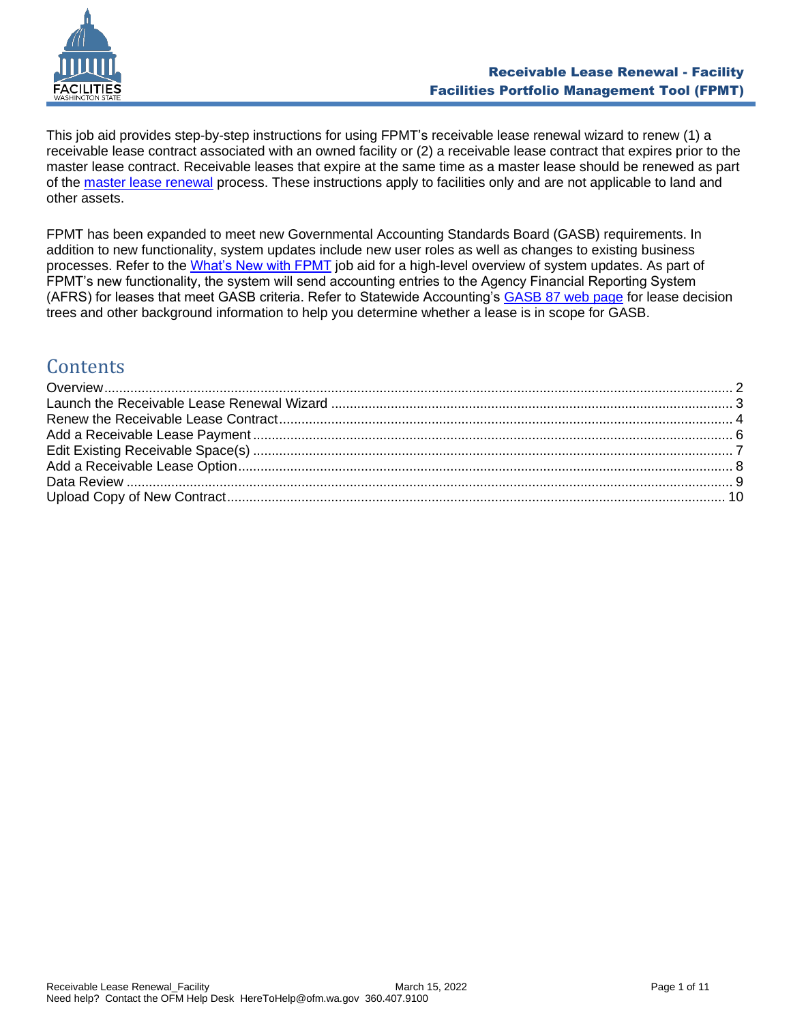

This job aid provides step-by-step instructions for using FPMT's receivable lease renewal wizard to renew (1) a receivable lease contract associated with an owned facility or (2) a receivable lease contract that expires prior to the master lease contract. Receivable leases that expire at the same time as a master lease should be renewed as part of the [master lease renewal](https://ofm.wa.gov/sites/default/files/public/itsystems/FPMT/Master%20Lease%20and%20Receivable%20Lease%20Renewal%20-%20Facility.pdf) process. These instructions apply to facilities only and are not applicable to land and other assets.

FPMT has been expanded to meet new Governmental Accounting Standards Board (GASB) requirements. In addition to new functionality, system updates include new user roles as well as changes to existing business processes. Refer to the [What's New with FPMT](https://ofm.wa.gov/sites/default/files/public/itsystems/FPMT/What%27s%20New%20with%20FPMT.pdf) job aid for a high-level overview of system updates. As part of FPMT's new functionality, the system will send accounting entries to the Agency Financial Reporting System (AFRS) for leases that meet GASB criteria. Refer to Statewide Accounting's [GASB 87 web page](https://ofm.wa.gov/accounting/administrative-accounting-resources/leases-gasb-87) for lease decision trees and other background information to help you determine whether a lease is in scope for GASB.

# **Contents**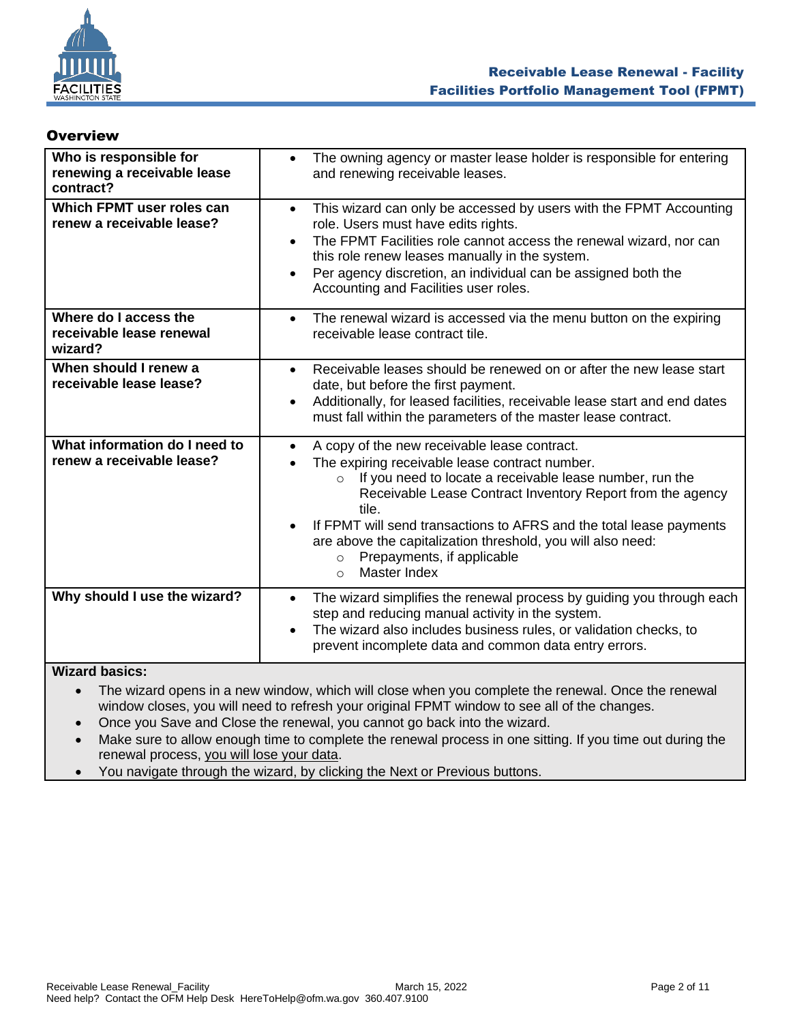

#### <span id="page-1-0"></span>**Overview**

| Who is responsible for<br>renewing a receivable lease<br>contract? | The owning agency or master lease holder is responsible for entering<br>$\bullet$<br>and renewing receivable leases.                                                                                                                                                                                                                                                                                                                                                              |
|--------------------------------------------------------------------|-----------------------------------------------------------------------------------------------------------------------------------------------------------------------------------------------------------------------------------------------------------------------------------------------------------------------------------------------------------------------------------------------------------------------------------------------------------------------------------|
| Which FPMT user roles can<br>renew a receivable lease?             | This wizard can only be accessed by users with the FPMT Accounting<br>$\bullet$<br>role. Users must have edits rights.<br>The FPMT Facilities role cannot access the renewal wizard, nor can<br>this role renew leases manually in the system.<br>Per agency discretion, an individual can be assigned both the<br>$\bullet$<br>Accounting and Facilities user roles.                                                                                                             |
| Where do I access the<br>receivable lease renewal<br>wizard?       | The renewal wizard is accessed via the menu button on the expiring<br>$\bullet$<br>receivable lease contract tile.                                                                                                                                                                                                                                                                                                                                                                |
| When should I renew a<br>receivable lease lease?                   | Receivable leases should be renewed on or after the new lease start<br>$\bullet$<br>date, but before the first payment.<br>Additionally, for leased facilities, receivable lease start and end dates<br>$\bullet$<br>must fall within the parameters of the master lease contract.                                                                                                                                                                                                |
| What information do I need to<br>renew a receivable lease?         | A copy of the new receivable lease contract.<br>$\bullet$<br>The expiring receivable lease contract number.<br>If you need to locate a receivable lease number, run the<br>$\circ$<br>Receivable Lease Contract Inventory Report from the agency<br>tile.<br>If FPMT will send transactions to AFRS and the total lease payments<br>$\bullet$<br>are above the capitalization threshold, you will also need:<br>Prepayments, if applicable<br>$\Omega$<br>Master Index<br>$\circ$ |
| Why should I use the wizard?                                       | The wizard simplifies the renewal process by guiding you through each<br>$\bullet$<br>step and reducing manual activity in the system.<br>The wizard also includes business rules, or validation checks, to<br>$\bullet$<br>prevent incomplete data and common data entry errors.                                                                                                                                                                                                 |

#### **Wizard basics:**

• The wizard opens in a new window, which will close when you complete the renewal. Once the renewal window closes, you will need to refresh your original FPMT window to see all of the changes.

• Once you Save and Close the renewal, you cannot go back into the wizard.

Make sure to allow enough time to complete the renewal process in one sitting. If you time out during the renewal process, you will lose your data.

• You navigate through the wizard, by clicking the Next or Previous buttons.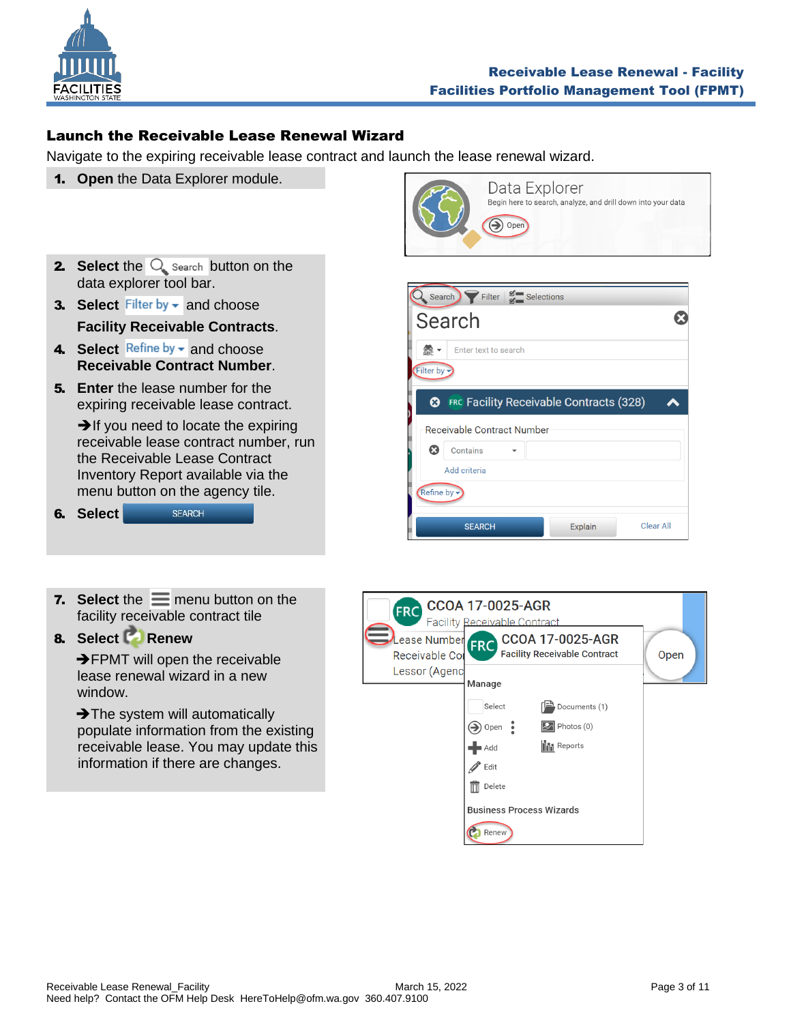

## <span id="page-2-0"></span>Launch the Receivable Lease Renewal Wizard

Navigate to the expiring receivable lease contract and launch the lease renewal wizard.

1. **Open** the Data Explorer module.



- **3. Select** Filter by  $\bullet$  and choose **Facility Receivable Contracts**.
- 4. Select Refine by  $\bullet$  and choose **Receivable Contract Number**.
- 5. **Enter** the lease number for the expiring receivable lease contract.

**→If you need to locate the expiring** receivable lease contract number, run the Receivable Lease Contract Inventory Report available via the menu button on the agency tile.

6. **Select SEARCH** 



8. **Select Renew**

**→FPMT** will open the receivable lease renewal wizard in a new window.

**→ The system will automatically**  populate information from the existing receivable lease. You may update this information if there are changes.



|                                                       | Search $\sum$ Filter $\sum_{n=1}^{\infty}$ Selections |  |
|-------------------------------------------------------|-------------------------------------------------------|--|
|                                                       | Search                                                |  |
| $\frac{60}{2R}$<br>Filter by $\overline{\phantom{a}}$ | Enter text to search                                  |  |
| ೞ                                                     | <b>FRC Facility Receivable Contracts (328)</b>        |  |
|                                                       | <b>Receivable Contract Number</b>                     |  |
| $\boldsymbol{\Omega}$                                 | Contains                                              |  |
|                                                       | Add criteria                                          |  |
| Refine by -                                           |                                                       |  |
|                                                       |                                                       |  |

| <b>FRC</b><br>Lease Number FRC<br>Receivable Co | <b>CCOA 17-0025-AGR</b><br><b>Facility Receivable Contract</b> | <b>CCOA 17-0025-AGR</b><br><b>Facility Receivable Contract</b> | Open |
|-------------------------------------------------|----------------------------------------------------------------|----------------------------------------------------------------|------|
| Lessor (Agenc                                   | Manage                                                         |                                                                |      |
|                                                 | Select                                                         | Documents (1)                                                  |      |
|                                                 | Open                                                           | $\triangleright$ Photos (0)                                    |      |
|                                                 | Add                                                            | <b>III</b> Reports                                             |      |
|                                                 | Edit                                                           |                                                                |      |
|                                                 | Delete<br>$\overline{\mathbb{I}}$                              |                                                                |      |
|                                                 | <b>Business Process Wizards</b>                                |                                                                |      |
|                                                 | Renew                                                          |                                                                |      |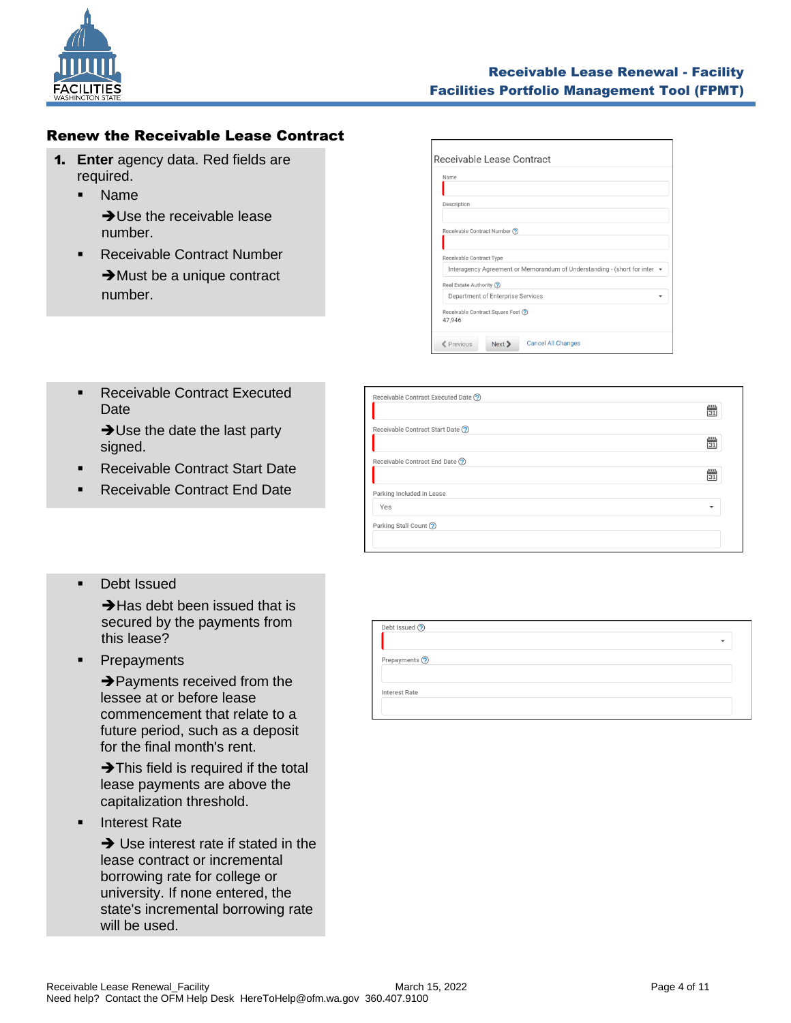

# <span id="page-3-0"></span>Renew the Receivable Lease Contract

- 1. **Enter** agency data. Red fields are required.
	- Name **→ Use the receivable lease** number.
	- Receivable Contract Number ➔Must be a unique contract number.

| Name        |                                                                                |
|-------------|--------------------------------------------------------------------------------|
|             |                                                                                |
| Description |                                                                                |
|             |                                                                                |
|             | Receivable Contract Number (?)                                                 |
|             |                                                                                |
|             | Receivable Contract Type                                                       |
|             | Interagency Agreement or Memorandum of Understanding - (short for inter $\sim$ |
|             | Real Estate Authority ?                                                        |
|             | Department of Enterprise Services                                              |
|             | Receivable Contract Square Feet (?)                                            |
| 47,946      |                                                                                |

■ Receivable Contract Executed Date

> **→ Use the date the last party** signed.

- **Receivable Contract Start Date**
- Receivable Contract End Date
- Receivable Contract Executed Date (?)  $\frac{100}{|31|}$ Receivable Contract Start Date (?)  $\frac{mn}{|31|}$ Receivable Contract End Date ?  $\frac{100}{31}$ Parking Included in Lease Yes  $\overline{\phantom{a}}$ Parking Stall Count ?

■ Debt Issued

**→ Has debt been issued that is**  secured by the payments from this lease?

▪ Prepayments

➔Payments received from the lessee at or before lease commencement that relate to a future period, such as a deposit for the final month's rent.

**→ This field is required if the total** lease payments are above the capitalization threshold.

**Interest Rate** 

➔ Use interest rate if stated in the lease contract or incremental borrowing rate for college or university. If none entered, the state's incremental borrowing rate will be used.

| Debt Issued ?        |  |  |
|----------------------|--|--|
|                      |  |  |
| Prepayments ?        |  |  |
| <b>Interest Rate</b> |  |  |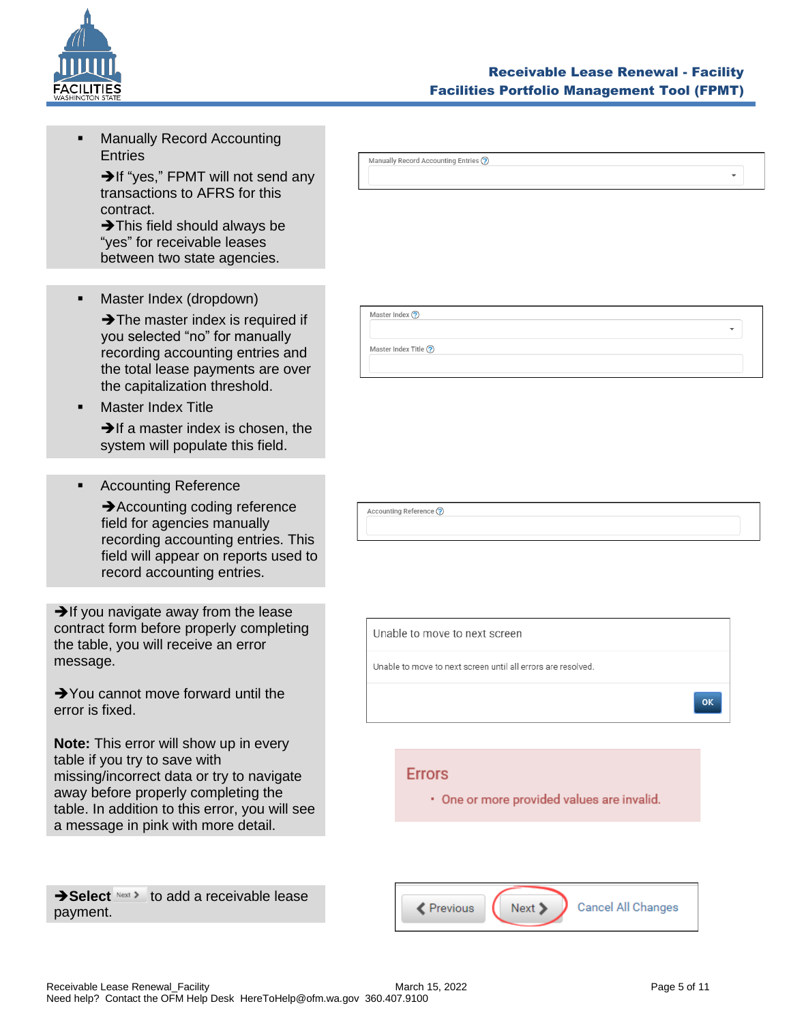

 $\ddot{}$ 

 $\ddot{\phantom{1}}$ 

**Manually Record Accounting Entries** 

> **→If "yes," FPMT will not send any** transactions to AFRS for this contract.

➔This field should always be "yes" for receivable leases between two state agencies.

■ Master Index (dropdown)

**→ The master index is required if**  you selected "no" for manually recording accounting entries and the total lease payments are over the capitalization threshold.

**Master Index Title** 

**→If a master index is chosen, the** system will populate this field.

■ Accounting Reference

**→ Accounting coding reference**  field for agencies manually recording accounting entries. This field will appear on reports used to record accounting entries.

 $\rightarrow$  If you navigate away from the lease contract form before properly completing the table, you will receive an error message.

**→**You cannot move forward until the error is fixed.

**Note:** This error will show up in every table if you try to save with missing/incorrect data or try to navigate away before properly completing the table. In addition to this error, you will see a message in pink with more detail.

**→ Select** Next > to add a receivable lease payment.

Manually Record Accounting Entries ?

Master Index ?

Master Index Title ?

Accounting Reference ?

Unable to move to next screen

Unable to move to next screen until all errors are resolved.

#### **Errors**

· One or more provided values are invalid.

Cancel All Changes **≮** Previous Next >

OK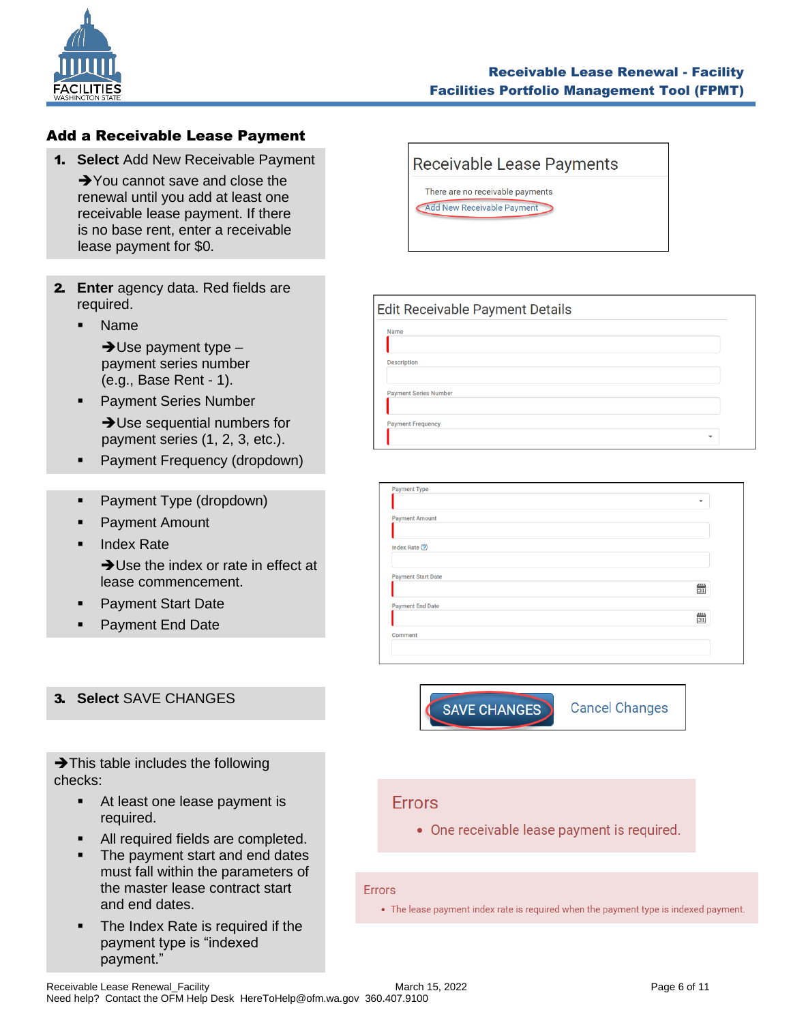

#### <span id="page-5-0"></span>Add a Receivable Lease Payment

1. **Select** Add New Receivable Payment

**→**You cannot save and close the renewal until you add at least one receivable lease payment. If there is no base rent, enter a receivable lease payment for \$0.

- 2. **Enter** agency data. Red fields are required.
	- **Name**

 $\rightarrow$  Use payment type  $$  payment series number (e.g., Base Rent - 1).

- **Payment Series Number → Use sequential numbers for**
- payment series (1, 2, 3, etc.). ■ Payment Frequency (dropdown)
- Payment Type (dropdown)
- Payment Amount
- Index Rate

➔Use the index or rate in effect at lease commencement.

- **Payment Start Date**
- Payment End Date

#### 3. **Select** SAVE CHANGES

**→ This table includes the following** checks:

- At least one lease payment is required.
- All required fields are completed.
- The payment start and end dates must fall within the parameters of the master lease contract start and end dates.
- The Index Rate is required if the payment type is "indexed payment."

# **Receivable Lease Payments** There are no receivable payments Add New Receivable Payment

| Edit Receivable Payment Details |                          |  |
|---------------------------------|--------------------------|--|
| Name                            |                          |  |
| <b>Description</b>              |                          |  |
| <b>Payment Series Number</b>    |                          |  |
| <b>Payment Frequency</b>        |                          |  |
|                                 | $\overline{\phantom{a}}$ |  |

| <b>Payment Type</b>       |                                                 |
|---------------------------|-------------------------------------------------|
|                           | $\overline{\phantom{a}}$                        |
| <b>Payment Amount</b>     |                                                 |
|                           |                                                 |
| Index Rate ②              |                                                 |
|                           |                                                 |
| <b>Payment Start Date</b> |                                                 |
|                           | $\begin{array}{c} 1.1 \ \hline 1.1 \end{array}$ |
| <b>Payment End Date</b>   |                                                 |
|                           | $\frac{100}{31}$                                |
| Comment                   |                                                 |
|                           |                                                 |
|                           |                                                 |



**Cancel Changes** 

# **Errors**

• One receivable lease payment is required.

#### **Errors**

• The lease payment index rate is required when the payment type is indexed payment.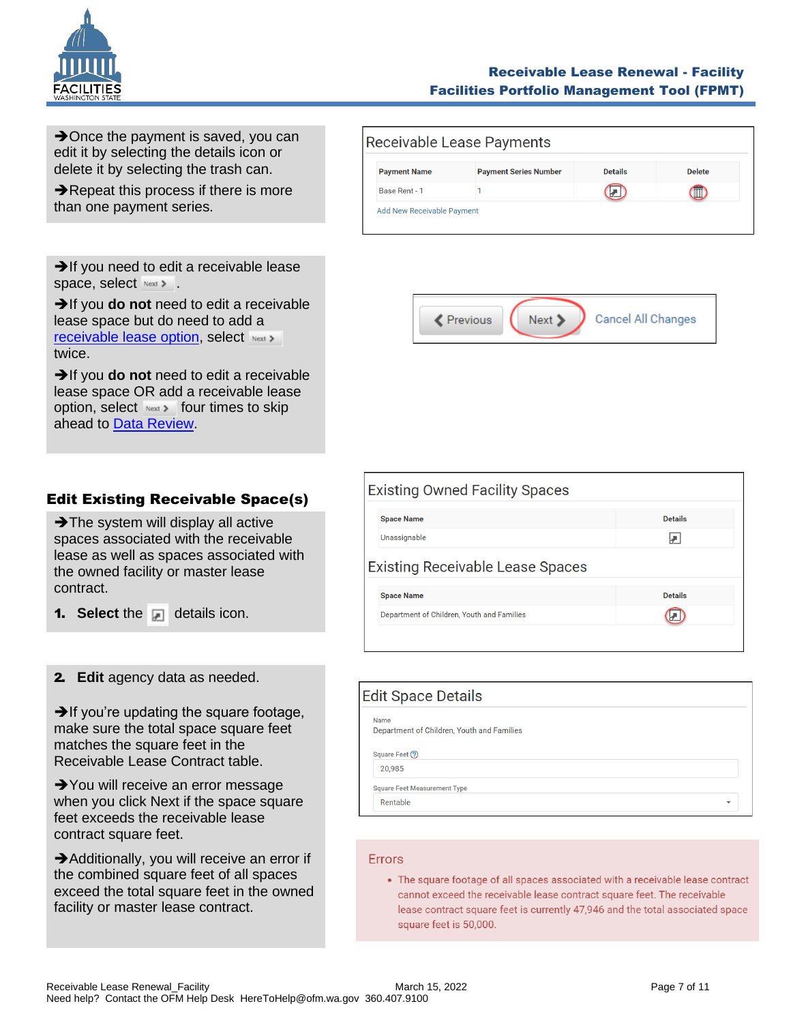

#### Receivable Lease Renewal - Facility Facilities Portfolio Management Tool (FPMT)

**→**Once the payment is saved, you can edit it by selecting the details icon or delete it by selecting the trash can.

**→ Repeat this process if there is more** than one payment series.

|                     | Receivable Lease Payments    |                |               |
|---------------------|------------------------------|----------------|---------------|
| <b>Payment Name</b> | <b>Payment Series Number</b> | <b>Details</b> | <b>Delete</b> |
| Base Rent - 1       |                              |                |               |

Next >

Cancel All Changes

Revious

**→**If you need to edit a receivable lease space, select.

➔If you **do not** need to edit a receivable lease space but do need to add a [receivable lease option,](#page-7-0) select Next > twice.

➔If you **do not** need to edit a receivable lease space OR add a receivable lease option, select  $N_{\text{ext}}$  four times to skip ahead to **Data Review**.

<span id="page-6-0"></span>

|  | <b>Edit Existing Receivable Space(s)</b> |  |
|--|------------------------------------------|--|
|  |                                          |  |

**→ The system will display all active** spaces associated with the receivable lease as well as spaces associated with the owned facility or master lease contract.

**1.** Select the **details** icon.

#### 2. **Edit** agency data as needed.

 $\rightarrow$  If you're updating the square footage, make sure the total space square feet matches the square feet in the Receivable Lease Contract table.

**→**You will receive an error message when you click Next if the space square feet exceeds the receivable lease contract square feet.

**→**Additionally, you will receive an error if the combined square feet of all spaces exceed the total square feet in the owned facility or master lease contract.

| <b>Existing Owned Facility Spaces</b>      |                |  |  |  |
|--------------------------------------------|----------------|--|--|--|
| <b>Space Name</b>                          | <b>Details</b> |  |  |  |
| Unassignable                               |                |  |  |  |
| <b>Existing Receivable Lease Spaces</b>    |                |  |  |  |
| <b>Space Name</b>                          | <b>Details</b> |  |  |  |
| Department of Children, Youth and Families |                |  |  |  |
|                                            |                |  |  |  |

| Edit Space Details                                 |  |
|----------------------------------------------------|--|
| Name<br>Department of Children, Youth and Families |  |
| Square Feet (?)                                    |  |
| 20,985                                             |  |
| <b>Square Feet Measurement Type</b>                |  |
| Rentable<br>٠                                      |  |

#### Errors

• The square footage of all spaces associated with a receivable lease contract cannot exceed the receivable lease contract square feet. The receivable lease contract square feet is currently 47,946 and the total associated space square feet is 50,000.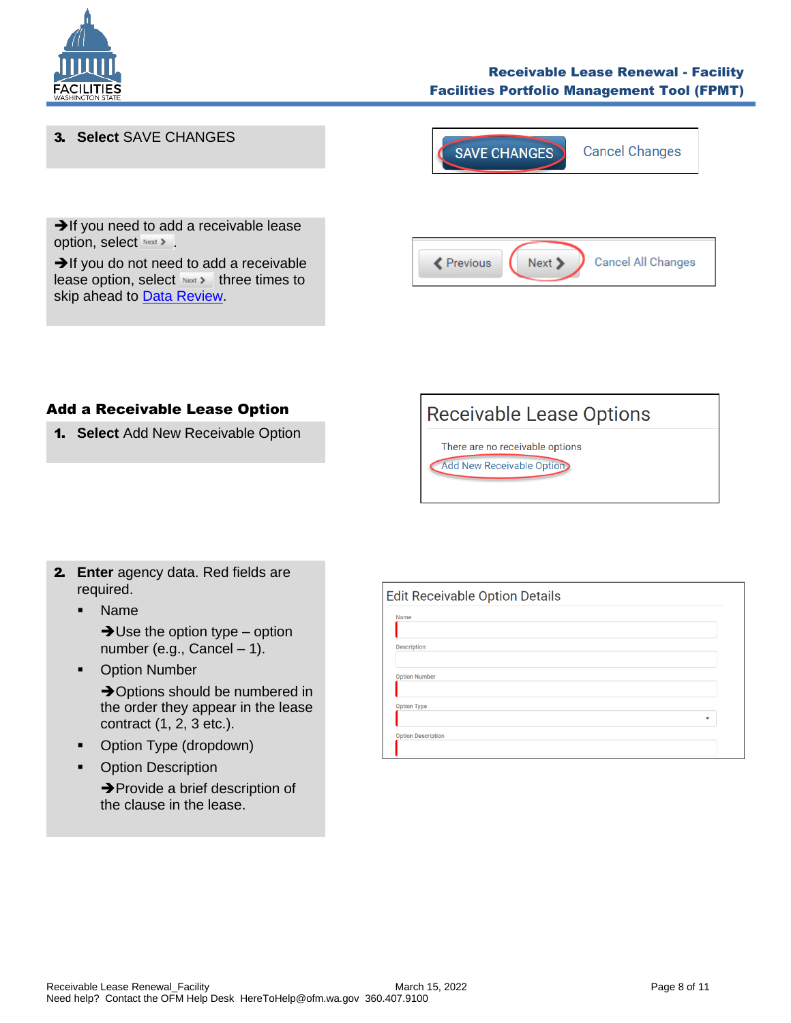



#### Add a Receivable Lease Option

<span id="page-7-0"></span>1. **Select** Add New Receivable Option



There are no receivable options **Add New Receivable Option** 

- 2. **Enter** agency data. Red fields are required.
	- Name

 $\rightarrow$ Use the option type – option number (e.g., Cancel – 1).

■ Option Number

**→ Options should be numbered in** the order they appear in the lease contract (1, 2, 3 etc.).

- Option Type (dropdown)
- Option Description

➔Provide a brief description of the clause in the lease.

| Name                 |  |  |              |
|----------------------|--|--|--------------|
| <b>Description</b>   |  |  |              |
| <b>Option Number</b> |  |  |              |
| <b>Option Type</b>   |  |  |              |
|                      |  |  | $\checkmark$ |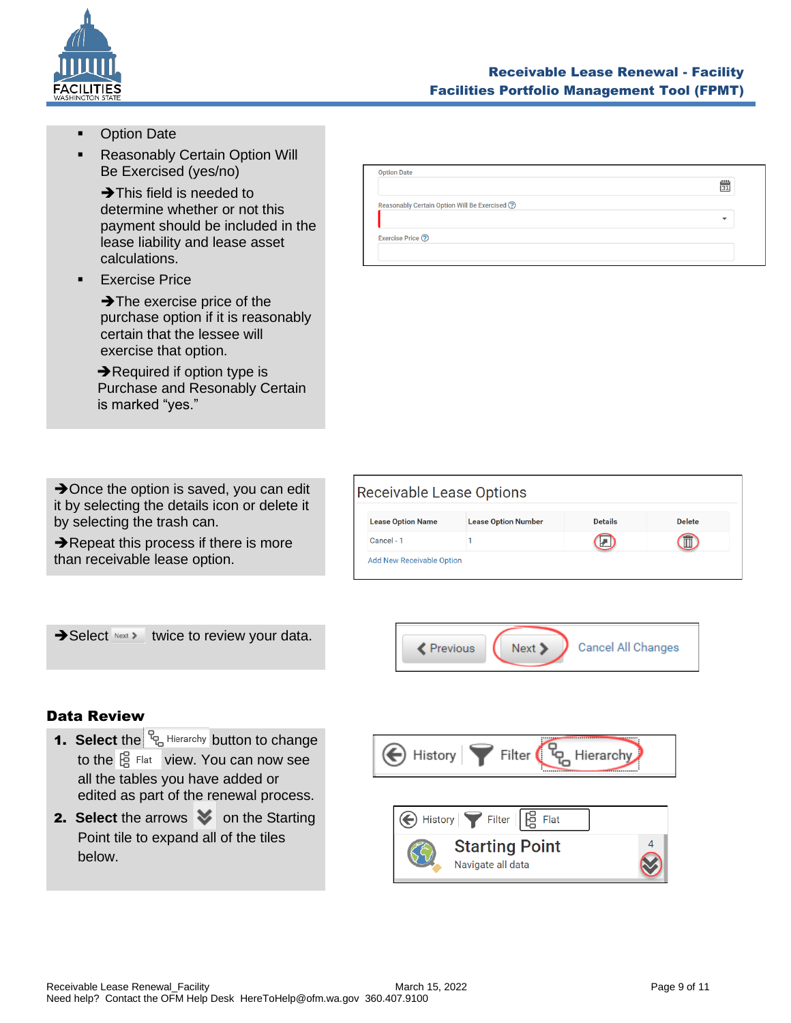

- **Option Date**
- **Reasonably Certain Option Will** Be Exercised (yes/no)

➔This field is needed to determine whether or not this payment should be included in the lease liability and lease asset calculations.

**Exercise Price** 

➔The exercise price of the purchase option if it is reasonably certain that the lessee will exercise that option.

**→ Required if option type is**  Purchase and Resonably Certain is marked "yes."

| $\rightarrow$ Once the option is saved, you can edit |
|------------------------------------------------------|
| it by selecting the details icon or delete it        |
| by selecting the trash can.                          |

**→ Repeat this process if there is more** than receivable lease option.

| <b>Option Date</b>                            |                            |
|-----------------------------------------------|----------------------------|
|                                               | $\frac{\mu m}{\boxed{31}}$ |
| Reasonably Certain Option Will Be Exercised ? |                            |
|                                               | $\overline{\phantom{a}}$   |
| Exercise Price (?)                            |                            |
|                                               |                            |

|            | <b>Lease Option Name</b> | <b>Lease Option Number</b> | <b>Details</b> | <b>Delete</b> |
|------------|--------------------------|----------------------------|----------------|---------------|
| Cancel - 1 |                          |                            |                | ÆТ            |





## <span id="page-8-1"></span><span id="page-8-0"></span>Data Review

- 1. Select the  $R_{\text{B}}$  Hierarchy button to change to the  $\frac{10}{19}$  Flat view. You can now see all the tables you have added or edited as part of the renewal process.
- **2. Select** the arrows  $\bullet$  on the Starting Point tile to expand all of the tiles below.

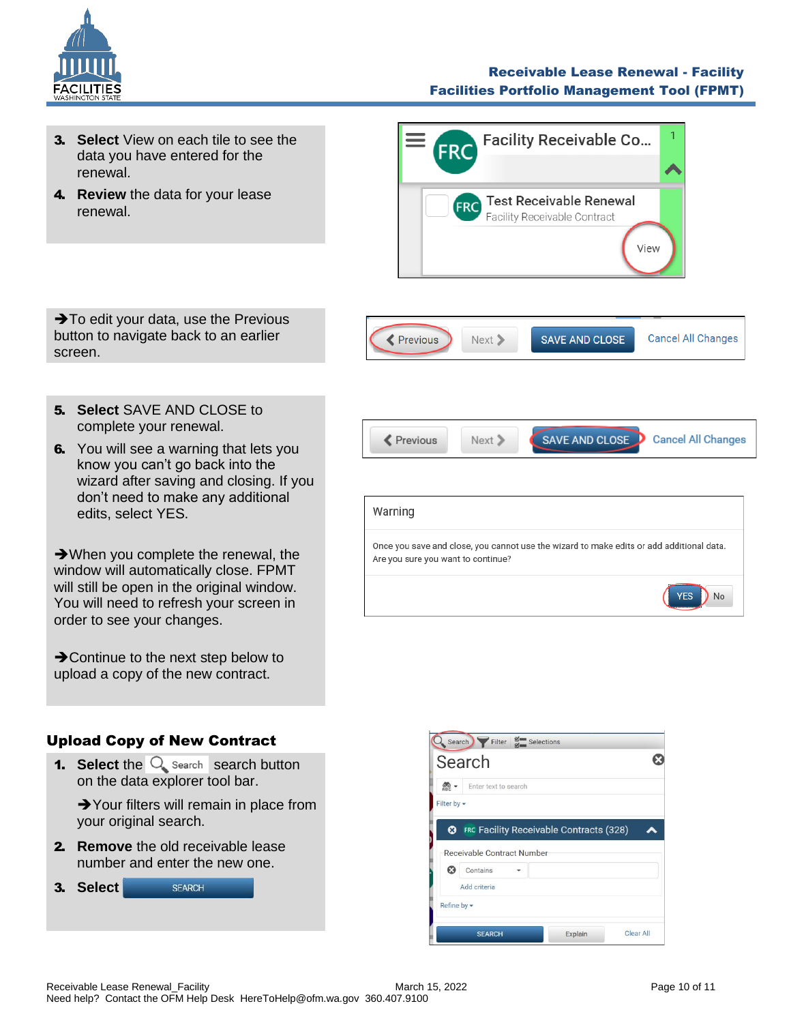

#### Receivable Lease Renewal - Facility Facilities Portfolio Management Tool (FPMT)

- 3. **Select** View on each tile to see the data you have entered for the renewal.
- 4. **Review** the data for your lease renewal.



➔To edit your data, use the Previous button to navigate back to an earlier screen.



- 5. **Select** SAVE AND CLOSE to complete your renewal.
- **6.** You will see a warning that lets you know you can't go back into the wizard after saving and closing. If you don't need to make any additional edits, select YES.

➔When you complete the renewal, the window will automatically close. FPMT will still be open in the original window. You will need to refresh your screen in order to see your changes.

**→ Continue to the next step below to** upload a copy of the new contract.

# Warning Once you save and close, you cannot use the wizard to make edits or add additional data. Are you sure you want to continue?

**≮** Previous

Next >

**SAVE AND CLOSE** 

**Cancel All Changes** 

**YES** 

 $)$  No

# <span id="page-9-0"></span>Upload Copy of New Contract

**1.** Select the  $\overline{Q}$  search search button on the data explorer tool bar.

**→**Your filters will remain in place from your original search.

2. **Remove** the old receivable lease number and enter the new one.



|                               | Search                                 |                                                |  |
|-------------------------------|----------------------------------------|------------------------------------------------|--|
| $rac{60}{\text{ABC}}$ $\star$ | Enter text to search                   |                                                |  |
| Filter by -                   |                                        |                                                |  |
| ఴ                             |                                        | <b>FRC Facility Receivable Contracts (328)</b> |  |
| Ø                             | Receivable Contract Number<br>Contains |                                                |  |
|                               | Add criteria                           |                                                |  |
| Refine by -                   |                                        |                                                |  |